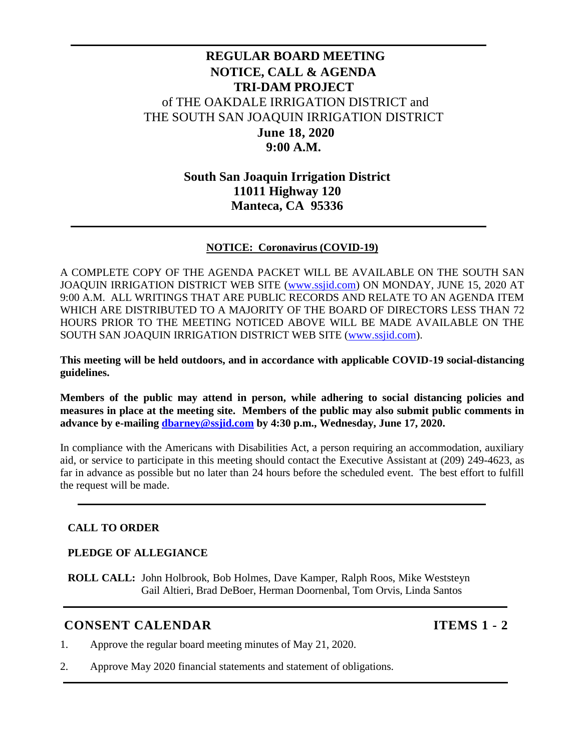# **REGULAR BOARD MEETING NOTICE, CALL & AGENDA TRI-DAM PROJECT** of THE OAKDALE IRRIGATION DISTRICT and THE SOUTH SAN JOAQUIN IRRIGATION DISTRICT **June 18, 2020 9:00 A.M.**

## **South San Joaquin Irrigation District 11011 Highway 120 Manteca, CA 95336**

### **NOTICE: Coronavirus (COVID-19)**

A COMPLETE COPY OF THE AGENDA PACKET WILL BE AVAILABLE ON THE SOUTH SAN JOAQUIN IRRIGATION DISTRICT WEB SITE [\(www.ssjid.com\)](http://www.ssjid.com/) ON MONDAY, JUNE 15, 2020 AT 9:00 A.M. ALL WRITINGS THAT ARE PUBLIC RECORDS AND RELATE TO AN AGENDA ITEM WHICH ARE DISTRIBUTED TO A MAJORITY OF THE BOARD OF DIRECTORS LESS THAN 72 HOURS PRIOR TO THE MEETING NOTICED ABOVE WILL BE MADE AVAILABLE ON THE SOUTH SAN JOAQUIN IRRIGATION DISTRICT WEB SITE [\(www.ssjid.com\)](http://www.ssjid.com/).

**This meeting will be held outdoors, and in accordance with applicable COVID-19 social-distancing guidelines.**

**Members of the public may attend in person, while adhering to social distancing policies and measures in place at the meeting site. Members of the public may also submit public comments in advance by e-mailing [dbarney@ssjid.com](mailto:dbarney@ssjid.com) by 4:30 p.m., Wednesday, June 17, 2020.** 

In compliance with the Americans with Disabilities Act, a person requiring an accommodation, auxiliary aid, or service to participate in this meeting should contact the Executive Assistant at (209) 249-4623, as far in advance as possible but no later than 24 hours before the scheduled event. The best effort to fulfill the request will be made.

### **CALL TO ORDER**

### **PLEDGE OF ALLEGIANCE**

**ROLL CALL:** John Holbrook, Bob Holmes, Dave Kamper, Ralph Roos, Mike Weststeyn Gail Altieri, Brad DeBoer, Herman Doornenbal, Tom Orvis, Linda Santos

### **CONSENT CALENDAR ITEMS** 1 - 2

- 1. Approve the regular board meeting minutes of May 21, 2020.
- 2. Approve May 2020 financial statements and statement of obligations.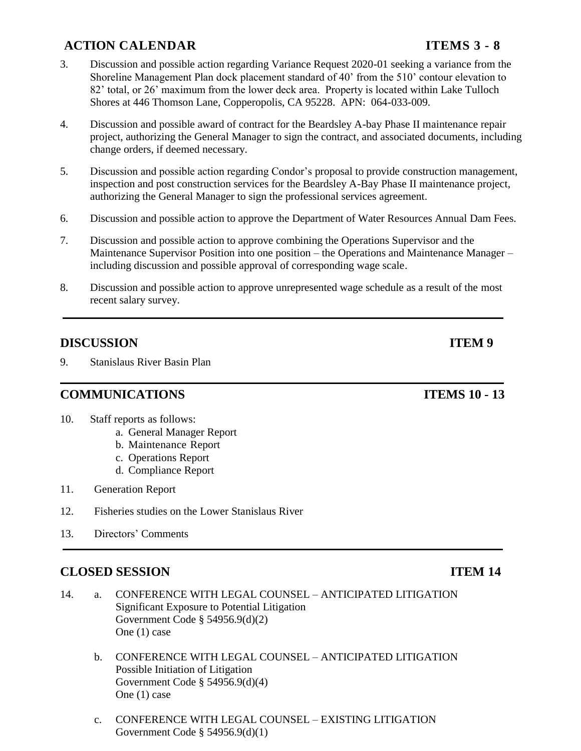# **ACTION CALENDAR ITEMS 3 - 8**

- 3. Discussion and possible action regarding Variance Request 2020-01 seeking a variance from the Shoreline Management Plan dock placement standard of 40' from the 510' contour elevation to 82' total, or 26' maximum from the lower deck area. Property is located within Lake Tulloch Shores at 446 Thomson Lane, Copperopolis, CA 95228. APN: 064-033-009.
- 4. Discussion and possible award of contract for the Beardsley A-bay Phase II maintenance repair project, authorizing the General Manager to sign the contract, and associated documents, including change orders, if deemed necessary.
- 5. Discussion and possible action regarding Condor's proposal to provide construction management, inspection and post construction services for the Beardsley A-Bay Phase II maintenance project, authorizing the General Manager to sign the professional services agreement.
- 6. Discussion and possible action to approve the Department of Water Resources Annual Dam Fees.
- 7. Discussion and possible action to approve combining the Operations Supervisor and the Maintenance Supervisor Position into one position – the Operations and Maintenance Manager – including discussion and possible approval of corresponding wage scale.
- 8. Discussion and possible action to approve unrepresented wage schedule as a result of the most recent salary survey.

## **DISCUSSION ITEM 9**

9. Stanislaus River Basin Plan

### **COMMUNICATIONS ITEMS 10 - 13**

- 10. Staff reports as follows:
	- a. General Manager Report
	- b. Maintenance Report
	- c. Operations Report
	- d. Compliance Report
- 11. Generation Report
- 12. Fisheries studies on the Lower Stanislaus River
- 13. Directors' Comments

## **CLOSED SESSION ITEM 14**

- 14. a. CONFERENCE WITH LEGAL COUNSEL ANTICIPATED LITIGATION Significant Exposure to Potential Litigation Government Code § 54956.9(d)(2) One (1) case
	- b. CONFERENCE WITH LEGAL COUNSEL ANTICIPATED LITIGATION Possible Initiation of Litigation Government Code § 54956.9(d)(4) One (1) case
	- c. CONFERENCE WITH LEGAL COUNSEL EXISTING LITIGATION Government Code § 54956.9(d)(1)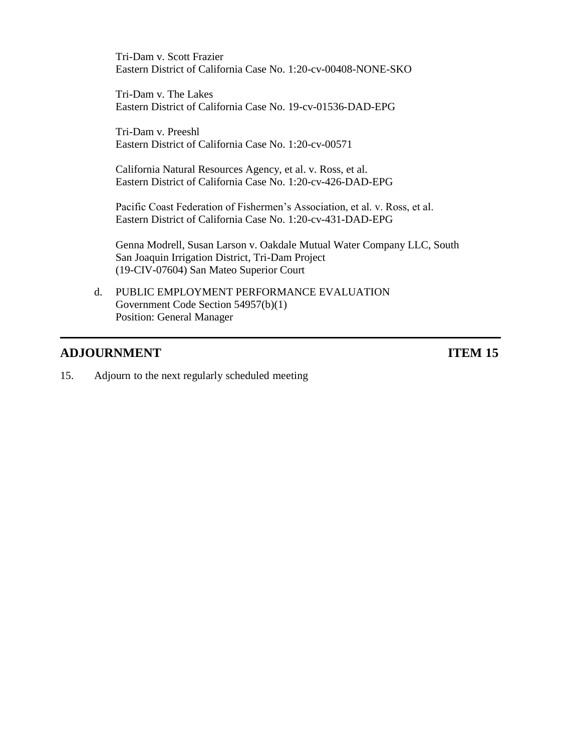Tri-Dam v. Scott Frazier Eastern District of California Case No. 1:20-cv-00408-NONE-SKO

Tri-Dam v. The Lakes Eastern District of California Case No. 19-cv-01536-DAD-EPG

Tri-Dam v. Preeshl Eastern District of California Case No. 1:20-cv-00571

California Natural Resources Agency, et al. v. Ross, et al. Eastern District of California Case No. 1:20-cv-426-DAD-EPG

Pacific Coast Federation of Fishermen's Association, et al. v. Ross, et al. Eastern District of California Case No. 1:20-cv-431-DAD-EPG

Genna Modrell, Susan Larson v. Oakdale Mutual Water Company LLC, South San Joaquin Irrigation District, Tri-Dam Project (19-CIV-07604) San Mateo Superior Court

d. PUBLIC EMPLOYMENT PERFORMANCE EVALUATION Government Code Section 54957(b)(1) Position: General Manager

## **ADJOURNMENT ITEM** 15

15. Adjourn to the next regularly scheduled meeting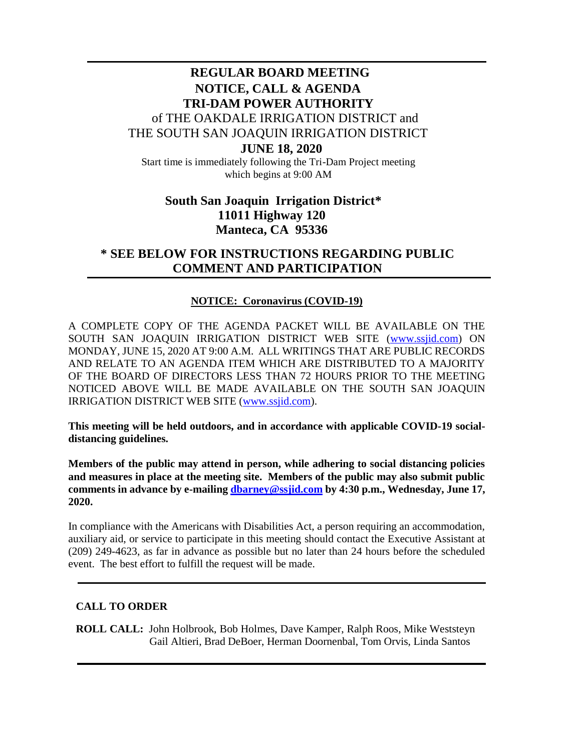# **REGULAR BOARD MEETING NOTICE, CALL & AGENDA TRI-DAM POWER AUTHORITY** of THE OAKDALE IRRIGATION DISTRICT and THE SOUTH SAN JOAQUIN IRRIGATION DISTRICT **JUNE 18, 2020**

Start time is immediately following the Tri-Dam Project meeting which begins at 9:00 AM

# **South San Joaquin Irrigation District\* 11011 Highway 120 Manteca, CA 95336**

## **\* SEE BELOW FOR INSTRUCTIONS REGARDING PUBLIC COMMENT AND PARTICIPATION**

### **NOTICE: Coronavirus (COVID-19)**

A COMPLETE COPY OF THE AGENDA PACKET WILL BE AVAILABLE ON THE SOUTH SAN JOAQUIN IRRIGATION DISTRICT WEB SITE [\(www.ssjid.com\)](http://www.ssjid.com/) ON MONDAY, JUNE 15, 2020 AT 9:00 A.M. ALL WRITINGS THAT ARE PUBLIC RECORDS AND RELATE TO AN AGENDA ITEM WHICH ARE DISTRIBUTED TO A MAJORITY OF THE BOARD OF DIRECTORS LESS THAN 72 HOURS PRIOR TO THE MEETING NOTICED ABOVE WILL BE MADE AVAILABLE ON THE SOUTH SAN JOAQUIN IRRIGATION DISTRICT WEB SITE [\(www.ssjid.com\)](http://www.ssjid.com/).

**This meeting will be held outdoors, and in accordance with applicable COVID-19 socialdistancing guidelines.**

**Members of the public may attend in person, while adhering to social distancing policies and measures in place at the meeting site. Members of the public may also submit public comments in advance by e-mailing [dbarney@ssjid.com](mailto:dbarney@ssjid.com) by 4:30 p.m., Wednesday, June 17, 2020.** 

In compliance with the Americans with Disabilities Act, a person requiring an accommodation, auxiliary aid, or service to participate in this meeting should contact the Executive Assistant at (209) 249-4623, as far in advance as possible but no later than 24 hours before the scheduled event. The best effort to fulfill the request will be made.

### **CALL TO ORDER**

**ROLL CALL:** John Holbrook, Bob Holmes, Dave Kamper, Ralph Roos, Mike Weststeyn Gail Altieri, Brad DeBoer, Herman Doornenbal, Tom Orvis, Linda Santos